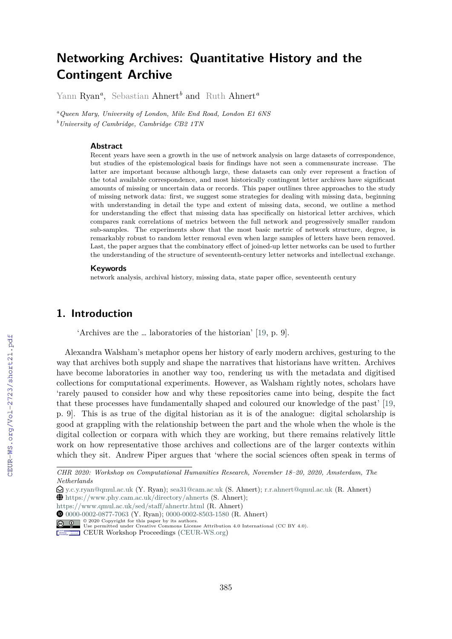# **Networking Archives: Quantitative History and the Contingent Archive**

Yann Ryan*<sup>a</sup>* , Sebastian Ahnert*<sup>b</sup>* and Ruth Ahnert*<sup>a</sup>*

*<sup>a</sup>Queen Mary, University of London, Mile End Road, London E1 6NS <sup>b</sup>University of Cambridge, Cambridge CB2 1TN*

#### **Abstract**

Recent years have seen a growth in the use of network analysis on large datasets of correspondence, but studies of the epistemological basis for findings have not seen a commensurate increase. The latter are important because although large, these datasets can only ever represent a fraction of the total available correspondence, and most historically contingent letter archives have significant amounts of missing or uncertain data or records. This paper outlines three approaches to the study of missing network data: first, we suggest some strategies for dealing with missing data, beginning with understanding in detail the type and extent of missing data, second, we outline a method for understanding the effect that missing data has specifically on historical letter archives, which compares rank correlations of metrics between the full network and progressively smaller random sub-samples. The experiments show that the most basic metric of network structure, degree, is remarkably robust to random letter removal even when large samples of letters have been removed. Last, the paper argues that the combinatory effect of joined-up letter networks can be used to further the understanding of the structure of seventeenth-century letter networks and intellectual exchange.

#### **Keywords**

network analysis, archival history, missing data, state paper office, seventeenth century

## **1. Introduction**

'Archives are the … laboratories of the historian' [19, p. 9].

Alexandra Walsham's metaphor opens her history of early modern archives, gesturing to the way that archives both supply and shape the narratives that historians have written. Archives have become laboratories in another way too, rendering us with the metadata and digitised collections for computational experiments. However, as Walsham rightly notes, scholars have 'rarely paused to consider how and why these repositories came into being, despite the fact that these processes have fundamentally shaped and coloured our knowledge of the past' [19, p. 9]. This is as true of the digital historian as it is of the analogue: digital scholarship is good at grappling with the relationship between the part and the whole when the whole is the digital collection or corpara with which they are working, but there remains relatively little work on how representative those archives and collections are of the larger contexts within which they sit. Andrew Piper argues that 'where the social sciences often speak in terms of

*CHR 2020: Workshop on Computational Humanities Research, November 18–20, 2020, Amsterdam, The Netherlands*

<sup>£</sup> y.c.y.ryan@qmul.ac.uk (Y. Ryan); sea31@cam.ac.uk (S. Ahnert); r.r.ahnert@qmul.ac.uk (R. Ahnert)

Å https://www.phy.cam.ac.uk/directory/ahnerts (S. Ahnert);

https://www.qmul.ac.uk/sed/staff/ahnertr.html (R. Ahnert)

DZ 0000-0002-0877-7063 (Y. Ryan); 0000-0002-8503-1580 (R. Ahnert)

<sup>© 2020</sup> Copyright for this paper by its authors. Use permitted under Creative Commons License Attribution 4.0 International (CC BY 4.0).

CEUR Workshop Proceedings (CEUR-WS.org)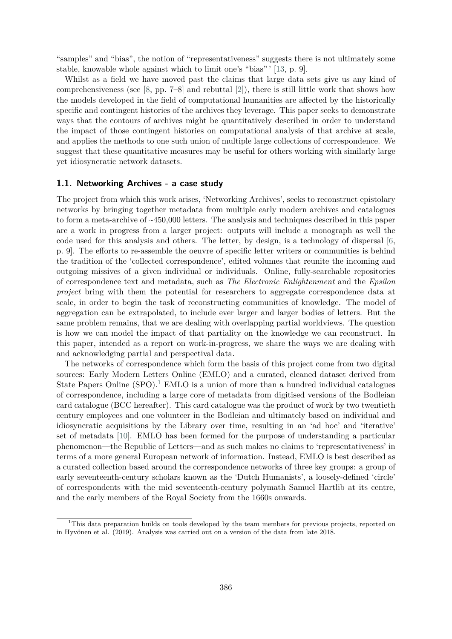"samples" and "bias", the notion of "representativeness" suggests there is not ultimately some stable, knowable whole against which to limit one's "bias" ' [13, p. 9].

Whilst as a field we have moved past the claims that large data sets give us any kind of comprehensiveness (see [8, pp. 7–8] and rebuttal [2]), there is still little work that shows how the models developed in the field of computational humanities are affected by the historically specific and contingent histories of the archives they leverage. This paper seeks to demonstrate ways that the contours of archives might be quantitatively described in order to understand the impact of those contingent histories on computational analysis of that archive at scale, and applies the methods to one such union of multiple large collections of correspondence. We suggest that these quantitative measures may be useful for others working with similarly large yet idiosyncratic network datasets.

#### **1.1. Networking Archives - a case study**

The project from which this work arises, 'Networking Archives', seeks to reconstruct epistolary networks by bringing together metadata from multiple early modern archives and catalogues to form a meta-archive of ~450,000 letters. The analysis and techniques described in this paper are a work in progress from a larger project: outputs will include a monograph as well the code used for this analysis and others. The letter, by design, is a technology of dispersal  $[6,$ p. 9]. The efforts to re-assemble the oeuvre of specific letter writers or communities is behind the tradition of the 'collected correspondence', edited volumes that reunite the incoming and outgoing missives of a given individual or individuals. Online, fully-searchable repositories of correspondence text and metadata, such as *The Electronic Enlightenment* and the *Epsilon project* bring with them the potential for researchers to aggregate correspondence data at scale, in order to begin the task of reconstructing communities of knowledge. The model of aggregation can be extrapolated, to include ever larger and larger bodies of letters. But the same problem remains, that we are dealing with overlapping partial worldviews. The question is how we can model the impact of that partiality on the knowledge we can reconstruct. In this paper, intended as a report on work-in-progress, we share the ways we are dealing with and acknowledging partial and perspectival data.

The networks of correspondence which form the basis of this project come from two digital sources: Early Modern Letters Online (EMLO) and a curated, cleaned dataset derived from State Papers Online  $(SPO)^{1}$  EMLO is a union of more than a hundred individual catalogues of correspondence, including a large core of metadata from digitised versions of the Bodleian card catalogue (BCC hereafter). This card catalogue was the product of work by two twentieth century employees and one volunteer in the Bodleian and ultimately based on individual and idiosyncratic acquisitions by the Library over time, resulting in an 'ad hoc' and 'iterative' set of metadata [10]. EMLO has been formed for the purpose of understanding a particular phenomenon—the Republic of Letters—and as such makes no claims to 'representativeness' in terms of a more general European network of information. Instead, EMLO is best described as a curated collection based around the correspondence networks of three key groups: a group of early seventeenth-century scholars known as the 'Dutch Humanists', a loosely-defined 'circle' of correspondents with the mid seventeenth-century polymath Samuel Hartlib at its centre, and the early members of the Royal Society from the 1660s onwards.

<sup>&</sup>lt;sup>1</sup>This data preparation builds on tools developed by the team members for previous projects, reported on in Hyvönen et al. (2019). Analysis was carried out on a version of the data from late 2018.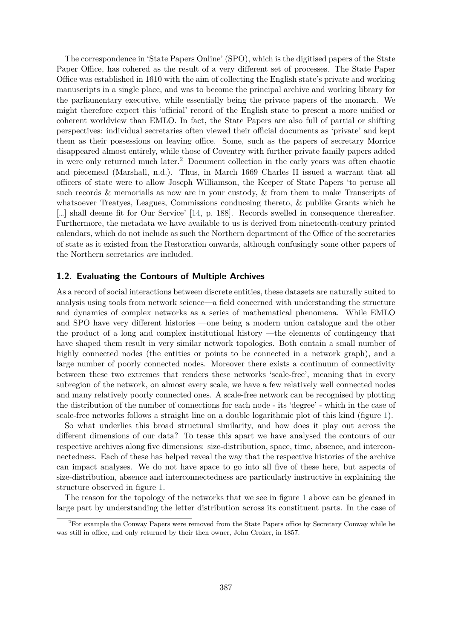The correspondence in 'State Papers Online' (SPO), which is the digitised papers of the State Paper Office, has cohered as the result of a very different set of processes. The State Paper Office was established in 1610 with the aim of collecting the English state's private and working manuscripts in a single place, and was to become the principal archive and working library for the parliamentary executive, while essentially being the private papers of the monarch. We might therefore expect this 'official' record of the English state to present a more unified or coherent worldview than EMLO. In fact, the State Papers are also full of partial or shifting perspectives: individual secretaries often viewed their official documents as 'private' and kept them as their possessions on leaving office. Some, such as the papers of secretary Morrice disappeared almost entirely, while those of Coventry with further private family papers added in were only returned much later.<sup>2</sup> Document collection in the early years was often chaotic and piecemeal (Marshall, n.d.). Thus, in March 1669 Charles II issued a warrant that all officers of state were to allow Joseph Williamson, the Keeper of State Papers 'to peruse all such records & memorialls as now are in your custody, & from them to make Transcripts of whatsoever Treatyes, Leagues, Commissions conduceing thereto, & publike Grants which he […] shall deeme fit for Our Service' [14, p. 188]. Records swelled in consequence thereafter. Furthermore, the metadata we have available to us is derived from nineteenth-century printed calendars, which do not include as such the Northern department of the Office of the secretaries of state as it existed from the Restoration onwards, although confusingly some other papers of the Northern secretaries *are* included.

#### **1.2. Evaluating the Contours of Multiple Archives**

As a record of social interactions between discrete entities, these datasets are naturally suited to analysis using tools from network science—a field concerned with understanding the structure and dynamics of complex networks as a series of mathematical phenomena. While EMLO and SPO have very different histories —one being a modern union catalogue and the other the product of a long and complex institutional history —the elements of contingency that have shaped them result in very similar network topologies. Both contain a small number of highly connected nodes (the entities or points to be connected in a network graph), and a large number of poorly connected nodes. Moreover there exists a continuum of connectivity between these two extremes that renders these networks 'scale-free', meaning that in every subregion of the network, on almost every scale, we have a few relatively well connected nodes and many relatively poorly connected ones. A scale-free network can be recognised by plotting the distribution of the number of connections for each node - its 'degree' - which in the case of scale-free networks follows a straight line on a double logarithmic plot of this kind (figure 1).

So what underlies this broad structural similarity, and how does it play out across the different dimensions of our data? To tease this apart we have analysed the contours of our respective archives along five dimensions: size-distribution, space, time, absence, and interconnectedness. Each of these has helped reveal the way that the respective histories of the archive can impact analyses. We do not have space to go into all five of these here, but aspects of size-distribution, absence and interconnectedness are particularly instructive in explaining the structure observed in figure 1.

The reason for the topology of the networks that we see in figure 1 above can be gleaned in large part by understanding the letter distribution across its constituent parts. In the case of

<sup>&</sup>lt;sup>2</sup>For example the Conway Papers were removed from the State Papers office by Secretary Conway while he was still in office, and only returned by their then owner, John Croker, in 1857.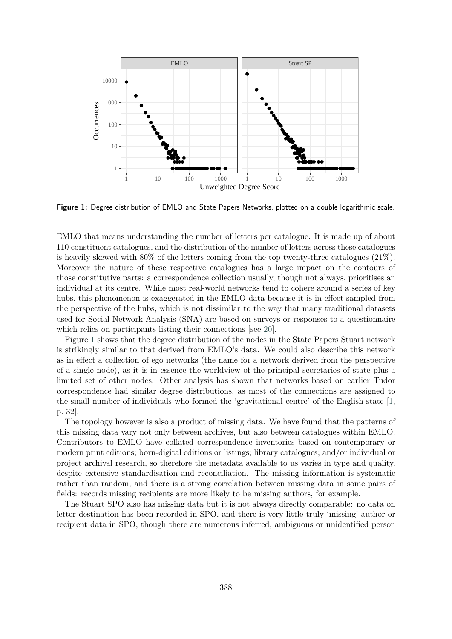

**Figure 1:** Degree distribution of EMLO and State Papers Networks, plotted on a double logarithmic scale.

EMLO that means understanding the number of letters per catalogue. It is made up of about 110 constituent catalogues, and the distribution of the number of letters across these catalogues is heavily skewed with 80% of the letters coming from the top twenty-three catalogues (21%). Moreover the nature of these respective catalogues has a large impact on the contours of those constitutive parts: a correspondence collection usually, though not always, prioritises an individual at its centre. While most real-world networks tend to cohere around a series of key hubs, this phenomenon is exaggerated in the EMLO data because it is in effect sampled from the perspective of the hubs, which is not dissimilar to the way that many traditional datasets used for Social Network Analysis (SNA) are based on surveys or responses to a questionnaire which relies on participants listing their connections [see 20].

Figure 1 shows that the degree distribution of the nodes in the State Papers Stuart network is strikingly similar to that derived from EMLO's data. We could also describe this network as in effect a collection of ego networks (the name for a network derived from the perspective of a single node), as it is in essence the worldview of the principal secretaries of state plus a limited set of other nodes. Other analysis has shown that networks based on earlier Tudor correspondence had similar degree distributions, as most of the connections are assigned to the small number of individuals who formed the 'gravitational centre' of the English state [1, p. 32].

The topology however is also a product of missing data. We have found that the patterns of this missing data vary not only between archives, but also between catalogues within EMLO. Contributors to EMLO have collated correspondence inventories based on contemporary or modern print editions; born-digital editions or listings; library catalogues; and/or individual or project archival research, so therefore the metadata available to us varies in type and quality, despite extensive standardisation and reconciliation. The missing information is systematic rather than random, and there is a strong correlation between missing data in some pairs of fields: records missing recipients are more likely to be missing authors, for example.

The Stuart SPO also has missing data but it is not always directly comparable: no data on letter destination has been recorded in SPO, and there is very little truly 'missing' author or recipient data in SPO, though there are numerous inferred, ambiguous or unidentified person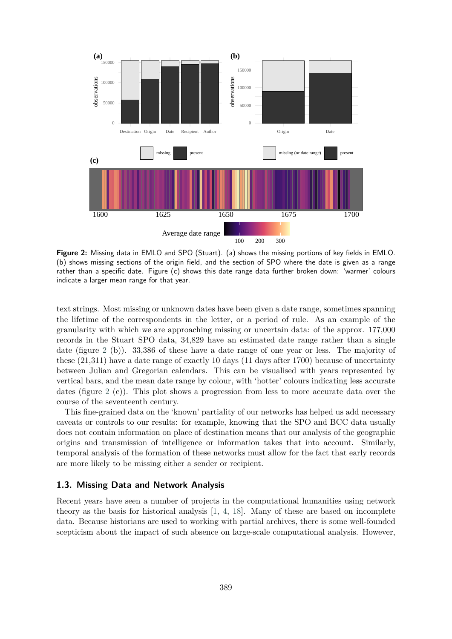

**Figure 2:** Missing data in EMLO and SPO (Stuart). (a) shows the missing portions of key fields in EMLO. (b) shows missing sections of the origin field, and the section of SPO where the date is given as a range rather than a specific date. Figure (c) shows this date range data further broken down: 'warmer' colours indicate a larger mean range for that year.

text strings. Most missing or unknown dates have been given a date range, sometimes spanning the lifetime of the correspondents in the letter, or a period of rule. As an example of the granularity with which we are approaching missing or uncertain data: of the approx. 177,000 records in the Stuart SPO data, 34,829 have an estimated date range rather than a single date (figure 2 (b)). 33,386 of these have a date range of one year or less. The majority of these (21,311) have a date range of exactly 10 days (11 days after 1700) because of uncertainty between Julian and Gregorian calendars. This can be visualised with years represented by vertical bars, and the mean date range by colour, with 'hotter' colours indicating less accurate dates (figure 2 (c)). This plot shows a progression from less to more accurate data over the course of the seventeenth century.

This fine-grained data on the 'known' partiality of our networks has helped us add necessary caveats or controls to our results: for example, knowing that the SPO and BCC data usually does not contain information on place of destination means that our analysis of the geographic origins and transmission of intelligence or information takes that into account. Similarly, temporal analysis of the formation of these networks must allow for the fact that early records are more likely to be missing either a sender or recipient.

#### **1.3. Missing Data and Network Analysis**

Recent years have seen a number of projects in the computational humanities using network theory as the basis for historical analysis [1, 4, 18]. Many of these are based on incomplete data. Because historians are used to working with partial archives, there is some well-founded scepticism about the impact of such absence on large-scale computational analysis. However,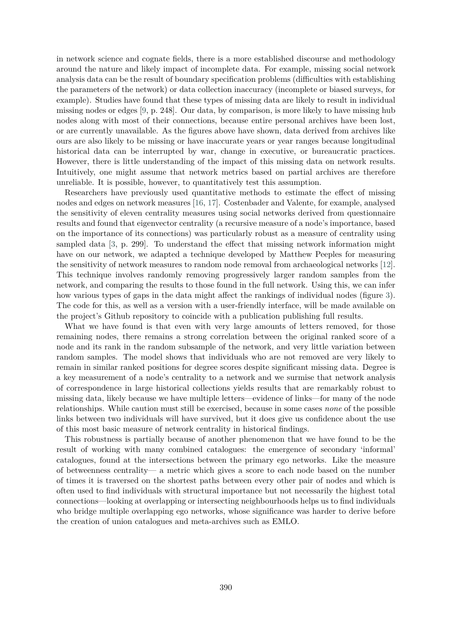in network science and cognate fields, there is a more established discourse and methodology around the nature and likely impact of incomplete data. For example, missing social network analysis data can be the result of boundary specification problems (difficulties with establishing the parameters of the network) or data collection inaccuracy (incomplete or biased surveys, for example). Studies have found that these types of missing data are likely to result in individual missing nodes or edges [9, p. 248]. Our data, by comparison, is more likely to have missing hub nodes along with most of their connections, because entire personal archives have been lost, or are currently unavailable. As the figures above have shown, data derived from archives like ours are also likely to be missing or have inaccurate years or year ranges because longitudinal historical data can be interrupted by war, change in executive, or bureaucratic practices. However, there is little understanding of the impact of this missing data on network results. Intuitively, one might assume that network metrics based on partial archives are therefore unreliable. It is possible, however, to quantitatively test this assumption.

Researchers have previously used quantitative methods to estimate the effect of missing nodes and edges on network measures [16, 17]. Costenbader and Valente, for example, analysed the sensitivity of eleven centrality measures using social networks derived from questionnaire results and found that eigenvector centrality (a recursive measure of a node's importance, based on the importance of its connections) was particularly robust as a measure of centrality using sampled data [3, p. 299]. To understand the effect that missing network information might have on our network, we adapted a technique developed by Matthew Peeples for measuring the sensitivity of network measures to random node removal from archaeological networks [12]. This technique involves randomly removing progressively larger random samples from the network, and comparing the results to those found in the full network. Using this, we can infer how various types of gaps in the data might affect the rankings of individual nodes (figure 3). The code for this, as well as a version with a user-friendly interface, will be made available on the project's Github repository to coincide with a publication publishing full results.

What we have found is that even with very large amounts of letters removed, for those remaining nodes, there remains a strong correlation between the original ranked score of a node and its rank in the random subsample of the network, and very little variation between random samples. The model shows that individuals who are not removed are very likely to remain in similar ranked positions for degree scores despite significant missing data. Degree is a key measurement of a node's centrality to a network and we surmise that network analysis of correspondence in large historical collections yields results that are remarkably robust to missing data, likely because we have multiple letters—evidence of links—for many of the node relationships. While caution must still be exercised, because in some cases *none* of the possible links between two individuals will have survived, but it does give us confidence about the use of this most basic measure of network centrality in historical findings.

This robustness is partially because of another phenomenon that we have found to be the result of working with many combined catalogues: the emergence of secondary 'informal' catalogues, found at the intersections between the primary ego networks. Like the measure of betweenness centrality— a metric which gives a score to each node based on the number of times it is traversed on the shortest paths between every other pair of nodes and which is often used to find individuals with structural importance but not necessarily the highest total connections—looking at overlapping or intersecting neighbourhoods helps us to find individuals who bridge multiple overlapping ego networks, whose significance was harder to derive before the creation of union catalogues and meta-archives such as EMLO.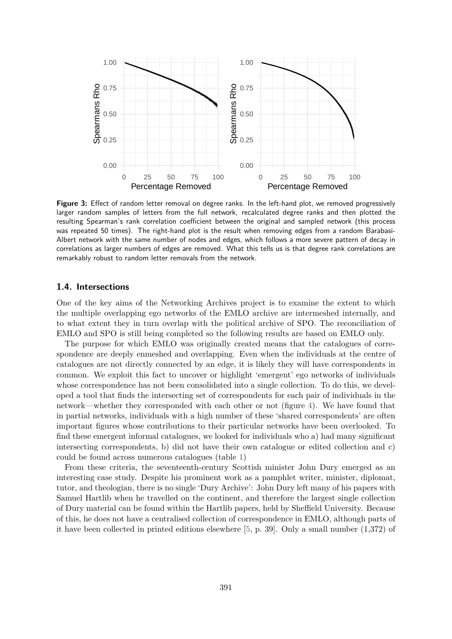

**Figure 3:** Effect of random letter removal on degree ranks. In the left-hand plot, we removed progressively larger random samples of letters from the full network, recalculated degree ranks and then plotted the resulting Spearman's rank correlation coefficient between the original and sampled network (this process was repeated 50 times). The right-hand plot is the result when removing edges from a random Barabasi-Albert network with the same number of nodes and edges, which follows a more severe pattern of decay in correlations as larger numbers of edges are removed. What this tells us is that degree rank correlations are remarkably robust to random letter removals from the network.

## **1.4. Intersections**

One of the key aims of the Networking Archives project is to examine the extent to which the multiple overlapping ego networks of the EMLO archive are intermeshed internally, and to what extent they in turn overlap with the political archive of SPO. The reconciliation of EMLO and SPO is still being completed so the following results are based on EMLO only.

The purpose for which EMLO was originally created means that the catalogues of correspondence are deeply enmeshed and overlapping. Even when the individuals at the centre of catalogues are not directly connected by an edge, it is likely they will have correspondents in common. We exploit this fact to uncover or highlight 'emergent' ego networks of individuals whose correspondence has not been consolidated into a single collection. To do this, we developed a tool that finds the intersecting set of correspondents for each pair of individuals in the network—whether they corresponded with each other or not (figure 4). We have found that in partial networks, individuals with a high number of these 'shared correspondents' are often important figures whose contributions to their particular networks have been overlooked. To find these emergent informal catalogues, we looked for individuals who a) had many significant intersecting correspondents, b) did not have their own catalogue or edited collection and c) could be found across numerous catalogues (table 1)

From these criteria, the seventeenth-century Scottish minister John Dury emerged as an interesting case study. Despite his prominent work as a pamphlet writer, minister, diplomat, tutor, and theologian, there is no single 'Dury Archive': John Dury left many of his papers with Samuel Hartlib when he travelled on the continent, and therefore the largest single collection of Dury material can be found within the Hartlib papers, held by Sheffield University. Because of this, he does not have a centralised collection of correspondence in EMLO, although parts of it have been collected in printed editions elsewhere [5, p. 39]. Only a small number (1,372) of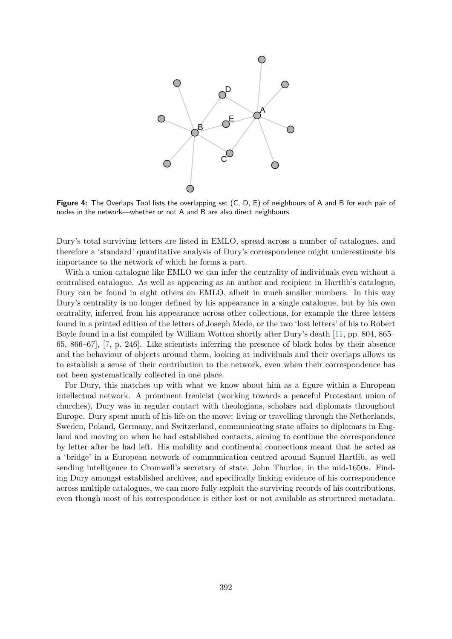

**Figure 4:** The Overlaps Tool lists the overlapping set (C, D, E) of neighbours of A and B for each pair of nodes in the network—whether or not A and B are also direct neighbours.

Dury's total surviving letters are listed in EMLO, spread across a number of catalogues, and therefore a 'standard' quantitative analysis of Dury's correspondence might underestimate his importance to the network of which he forms a part.

With a union catalogue like EMLO we can infer the centrality of individuals even without a centralised catalogue. As well as appearing as an author and recipient in Hartlib's catalogue, Dury can be found in eight others on EMLO, albeit in much smaller numbers. In this way Dury's centrality is no longer defined by his appearance in a single catalogue, but by his own centrality, inferred from his appearance across other collections, for example the three letters found in a printed edition of the letters of Joseph Mede, or the two 'lost letters' of his to Robert Boyle found in a list compiled by William Wotton shortly after Dury's death [11, pp. 804, 865– 65, 866–67], [7, p. 246]. Like scientists inferring the presence of black holes by their absence and the behaviour of objects around them, looking at individuals and their overlaps allows us to establish a sense of their contribution to the network, even when their correspondence has not been systematically collected in one place.

For Dury, this matches up with what we know about him as a figure within a European intellectual network. A prominent Irenicist (working towards a peaceful Protestant union of churches), Dury was in regular contact with theologians, scholars and diplomats throughout Europe. Dury spent much of his life on the move: living or travelling through the Netherlands, Sweden, Poland, Germany, and Switzerland, communicating state affairs to diplomats in England and moving on when he had established contacts, aiming to continue the correspondence by letter after he had left. His mobility and continental connections meant that he acted as a 'bridge' in a European network of communication centred around Samuel Hartlib, as well sending intelligence to Cromwell's secretary of state, John Thurloe, in the mid-1650s. Finding Dury amongst established archives, and specifically linking evidence of his correspondence across multiple catalogues, we can more fully exploit the surviving records of his contributions, even though most of his correspondence is either lost or not available as structured metadata.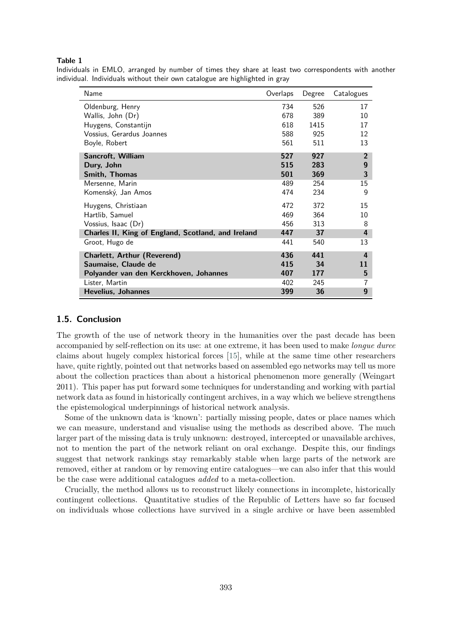#### **Table 1**

| Name                                               | Overlaps | Degree | Catalogues     |
|----------------------------------------------------|----------|--------|----------------|
| Oldenburg, Henry                                   | 734      | 526    | 17             |
| Wallis, John (Dr)                                  | 678      | 389    | 10             |
| Huygens, Constantijn                               | 618      | 1415   | 17             |
| Vossius, Gerardus Joannes                          | 588      | 925    | 12             |
| Boyle, Robert                                      | 561      | 511    | 13             |
| Sancroft, William                                  | 527      | 927    | $\overline{2}$ |
| Dury, John                                         | 515      | 283    | 9              |
| Smith, Thomas                                      | 501      | 369    | 3              |
| Mersenne, Marin                                    | 489      | 254    | 15             |
| Komenský, Jan Amos                                 | 474      | 234    | 9              |
| Huygens, Christiaan                                | 472      | 372    | 15             |
| Hartlib, Samuel                                    | 469      | 364    | 10             |
| Vossius, Isaac (Dr)                                | 456      | 313    | 8              |
| Charles II, King of England, Scotland, and Ireland | 447      | 37     | 4              |
| Groot, Hugo de                                     | 441      | 540    | 13             |
| Charlett, Arthur (Reverend)                        | 436      | 441    | 4              |
| Saumaise, Claude de                                | 415      | 34     | 11             |
| Polyander van den Kerckhoven, Johannes             | 407      | 177    | 5              |
| Lister, Martin                                     | 402      | 245    | 7              |
| Hevelius, Johannes                                 | 399      | 36     | 9              |

Individuals in EMLO, arranged by number of times they share at least two correspondents with another individual. Individuals without their own catalogue are highlighted in gray

## **1.5. Conclusion**

The growth of the use of network theory in the humanities over the past decade has been accompanied by self-reflection on its use: at one extreme, it has been used to make *longue duree* claims about hugely complex historical forces [15], while at the same time other researchers have, quite rightly, pointed out that networks based on assembled ego networks may tell us more about the collection practices than about a historical phenomenon more generally (Weingart 2011). This paper has put forward some techniques for understanding and working with partial network data as found in historically contingent archives, in a way which we believe strengthens the epistemological underpinnings of historical network analysis.

Some of the unknown data is 'known': partially missing people, dates or place names which we can measure, understand and visualise using the methods as described above. The much larger part of the missing data is truly unknown: destroyed, intercepted or unavailable archives, not to mention the part of the network reliant on oral exchange. Despite this, our findings suggest that network rankings stay remarkably stable when large parts of the network are removed, either at random or by removing entire catalogues—we can also infer that this would be the case were additional catalogues *added* to a meta-collection.

Crucially, the method allows us to reconstruct likely connections in incomplete, historically contingent collections. Quantitative studies of the Republic of Letters have so far focused on individuals whose collections have survived in a single archive or have been assembled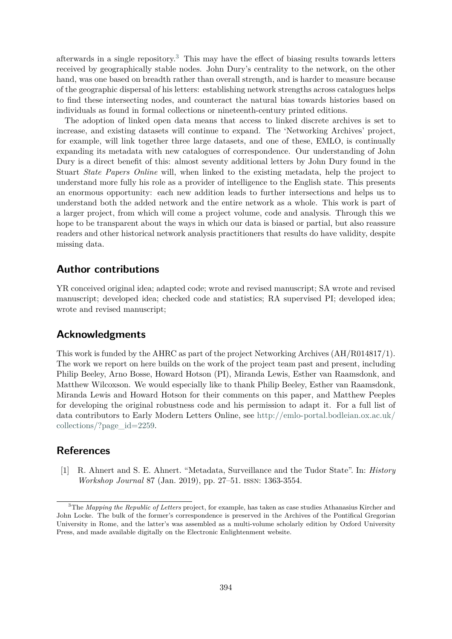afterwards in a single repository.<sup>3</sup> This may have the effect of biasing results towards letters received by geographically stable nodes. John Dury's centrality to the network, on the other hand, was one based on breadth rather than overall strength, and is harder to measure because of the geographic dispersal of his letters: establishing network strengths across catalogues helps to find these intersecting nodes, and counteract the natural bias towards histories based on individuals as found in formal collections or nineteenth-century printed editions.

The adoption of linked open data means that access to linked discrete archives is set to increase, and existing datasets will continue to expand. The 'Networking Archives' project, for example, will link together three large datasets, and one of these, EMLO, is continually expanding its metadata with new catalogues of correspondence. Our understanding of John Dury is a direct benefit of this: almost seventy additional letters by John Dury found in the Stuart *State Papers Online* will, when linked to the existing metadata, help the project to understand more fully his role as a provider of intelligence to the English state. This presents an enormous opportunity: each new addition leads to further intersections and helps us to understand both the added network and the entire network as a whole. This work is part of a larger project, from which will come a project volume, code and analysis. Through this we hope to be transparent about the ways in which our data is biased or partial, but also reassure readers and other historical network analysis practitioners that results do have validity, despite missing data.

## **Author contributions**

YR conceived original idea; adapted code; wrote and revised manuscript; SA wrote and revised manuscript; developed idea; checked code and statistics; RA supervised PI; developed idea; wrote and revised manuscript;

## **Acknowledgments**

This work is funded by the AHRC as part of the project Networking Archives (AH/R014817/1). The work we report on here builds on the work of the project team past and present, including Philip Beeley, Arno Bosse, Howard Hotson (PI), Miranda Lewis, Esther van Raamsdonk, and Matthew Wilcoxson. We would especially like to thank Philip Beeley, Esther van Raamsdonk, Miranda Lewis and Howard Hotson for their comments on this paper, and Matthew Peeples for developing the original robustness code and his permission to adapt it. For a full list of data contributors to Early Modern Letters Online, see http://emlo-portal.bodleian.ox.ac.uk/ collections/?page\_id=2259.

# **References**

[1] R. Ahnert and S. E. Ahnert. "Metadata, Surveillance and the Tudor State". In: *History Workshop Journal* 87 (Jan. 2019), pp. 27–51. issn: 1363-3554.

<sup>3</sup>The *Mapping the Republic of Letters* project, for example, has taken as case studies Athanasius Kircher and John Locke. The bulk of the former's correspondence is preserved in the Archives of the Pontifical Gregorian University in Rome, and the latter's was assembled as a multi-volume scholarly edition by Oxford University Press, and made available digitally on the Electronic Enlightenment website.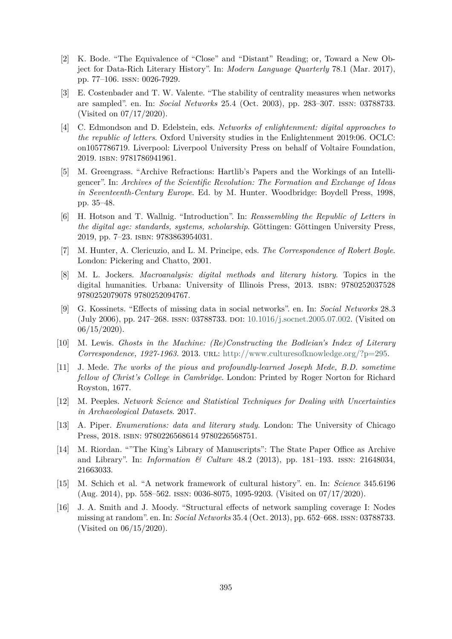- [2] K. Bode. "The Equivalence of "Close" and "Distant" Reading; or, Toward a New Object for Data-Rich Literary History". In: *Modern Language Quarterly* 78.1 (Mar. 2017), pp. 77–106. issn: 0026-7929.
- [3] E. Costenbader and T. W. Valente. "The stability of centrality measures when networks are sampled". en. In: *Social Networks* 25.4 (Oct. 2003), pp. 283–307. issn: 03788733. (Visited on 07/17/2020).
- [4] C. Edmondson and D. Edelstein, eds. *Networks of enlightenment: digital approaches to the republic of letters*. Oxford University studies in the Enlightenment 2019:06. OCLC: on1057786719. Liverpool: Liverpool University Press on behalf of Voltaire Foundation, 2019. isbn: 9781786941961.
- [5] M. Greengrass. "Archive Refractions: Hartlib's Papers and the Workings of an Intelligencer". In: *Archives of the Scientific Revolution: The Formation and Exchange of Ideas in Seventeenth-Century Europe*. Ed. by M. Hunter. Woodbridge: Boydell Press, 1998, pp. 35–48.
- [6] H. Hotson and T. Wallnig. "Introduction". In: *Reassembling the Republic of Letters in the digital age: standards, systems, scholarship*. Göttingen: Göttingen University Press, 2019, pp. 7–23. isbn: 9783863954031.
- [7] M. Hunter, A. Clericuzio, and L. M. Principe, eds. *The Correspondence of Robert Boyle*. London: Pickering and Chatto, 2001.
- [8] M. L. Jockers. *Macroanalysis: digital methods and literary history*. Topics in the digital humanities. Urbana: University of Illinois Press, 2013. isbn: 9780252037528 9780252079078 9780252094767.
- [9] G. Kossinets. "Effects of missing data in social networks". en. In: *Social Networks* 28.3 (July 2006), pp. 247–268. issn: 03788733. doi: 10.1016/j.socnet.2005.07.002. (Visited on  $06/15/2020$ ).
- [10] M. Lewis. *Ghosts in the Machine: (Re)Constructing the Bodleian's Index of Literary Correspondence, 1927-1963.* 2013. URL: http://www.culturesofknowledge.org/?p=295.
- [11] J. Mede. *The works of the pious and profoundly-learned Joseph Mede, B.D. sometime fellow of Christ's College in Cambridge*. London: Printed by Roger Norton for Richard Royston, 1677.
- [12] M. Peeples. *Network Science and Statistical Techniques for Dealing with Uncertainties in Archaeological Datasets*. 2017.
- [13] A. Piper. *Enumerations: data and literary study*. London: The University of Chicago Press, 2018. isbn: 9780226568614 9780226568751.
- [14] M. Riordan. ""The King's Library of Manuscripts": The State Paper Office as Archive and Library". In: *Information & Culture* 48.2 (2013), pp. 181–193. issn: 21648034, 21663033.
- [15] M. Schich et al. "A network framework of cultural history". en. In: *Science* 345.6196 (Aug. 2014), pp. 558–562. issn: 0036-8075, 1095-9203. (Visited on 07/17/2020).
- [16] J. A. Smith and J. Moody. "Structural effects of network sampling coverage I: Nodes missing at random". en. In: *Social Networks* 35.4 (Oct. 2013), pp. 652–668. issn: 03788733. (Visited on 06/15/2020).